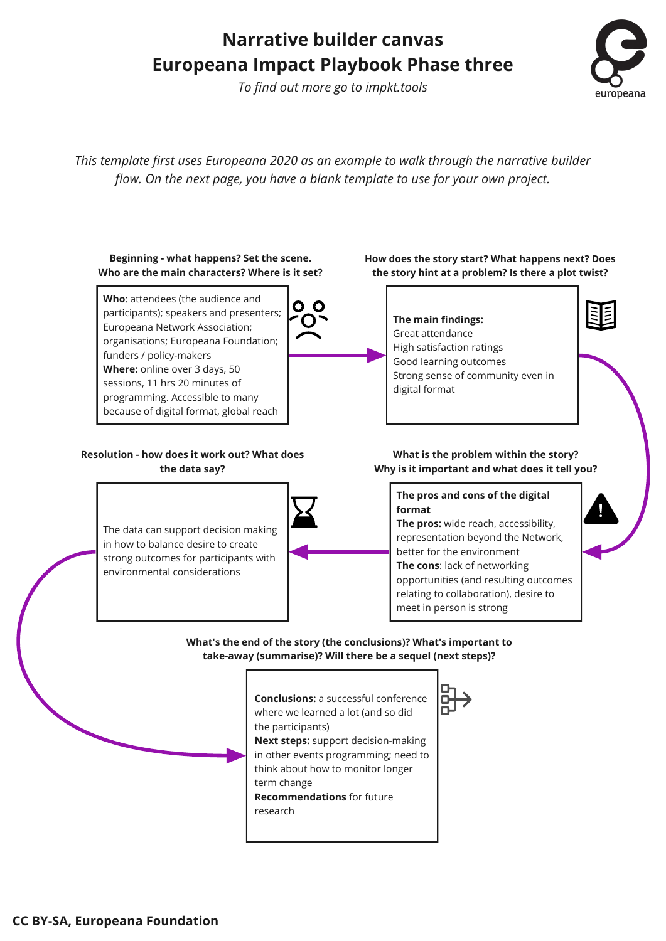## **Narrative builder canvas Europeana Impact Playbook Phase three**

*To find out more go to impkt.tools*



*This template first uses Europeana 2020 as an example to walk through the narrative builder flow. On the next page, you have a blank template to use for your own project.*